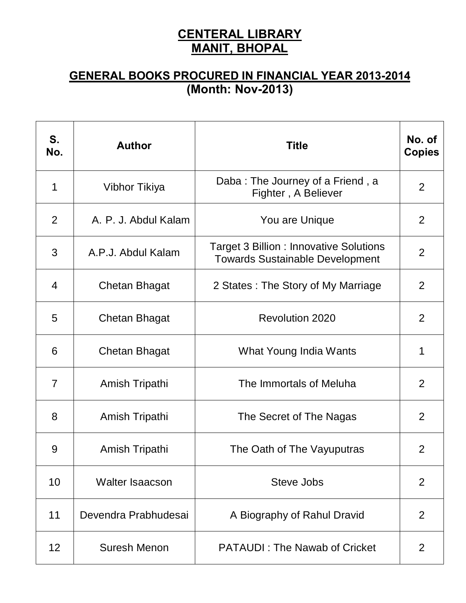## **CENTERAL LIBRARY MANIT, BHOPAL**

## **GENERAL BOOKS PROCURED IN FINANCIAL YEAR 2013-2014 (Month: Nov-2013)**

| S.<br>No.      | <b>Author</b>          | <b>Title</b>                                                                             | No. of<br><b>Copies</b> |
|----------------|------------------------|------------------------------------------------------------------------------------------|-------------------------|
| 1              | Vibhor Tikiya          | Daba: The Journey of a Friend, a<br>Fighter, A Believer                                  | 2                       |
| 2              | A. P. J. Abdul Kalam   | You are Unique                                                                           | 2                       |
| 3              | A.P.J. Abdul Kalam     | <b>Target 3 Billion : Innovative Solutions</b><br><b>Towards Sustainable Development</b> | 2                       |
| 4              | <b>Chetan Bhagat</b>   | 2 States: The Story of My Marriage                                                       | 2                       |
| 5              | Chetan Bhagat          | <b>Revolution 2020</b>                                                                   | 2                       |
| 6              | Chetan Bhagat          | What Young India Wants                                                                   | 1                       |
| $\overline{7}$ | Amish Tripathi         | The Immortals of Meluha                                                                  | 2                       |
| 8              | Amish Tripathi         | The Secret of The Nagas                                                                  | 2                       |
| 9              | Amish Tripathi         | The Oath of The Vayuputras                                                               | 2                       |
| 10             | <b>Walter Isaacson</b> | Steve Jobs                                                                               | 2                       |
| 11             | Devendra Prabhudesai   | A Biography of Rahul Dravid                                                              | 2                       |
| 12             | Suresh Menon           | <b>PATAUDI: The Nawab of Cricket</b>                                                     | 2                       |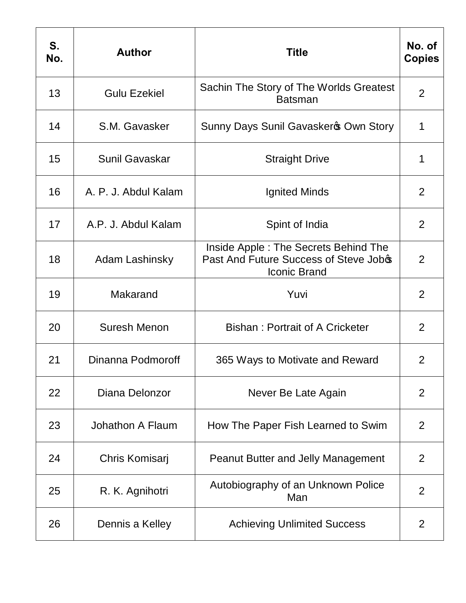| S.<br>No. | <b>Author</b>         | <b>Title</b>                                                                                          | No. of<br><b>Copies</b> |
|-----------|-----------------------|-------------------------------------------------------------------------------------------------------|-------------------------|
| 13        | <b>Gulu Ezekiel</b>   | Sachin The Story of The Worlds Greatest<br><b>Batsman</b>                                             | $\overline{2}$          |
| 14        | S.M. Gavasker         | Sunny Days Sunil Gavasker & Own Story                                                                 | 1                       |
| 15        | <b>Sunil Gavaskar</b> | <b>Straight Drive</b>                                                                                 | 1                       |
| 16        | A. P. J. Abdul Kalam  | Ignited Minds                                                                                         | $\overline{2}$          |
| 17        | A.P. J. Abdul Kalam   | Spint of India                                                                                        | $\overline{2}$          |
| 18        | Adam Lashinsky        | Inside Apple: The Secrets Behind The<br>Past And Future Success of Steve Jobos<br><b>Iconic Brand</b> | 2                       |
| 19        | Makarand              | Yuvi                                                                                                  | $\overline{2}$          |
| 20        | Suresh Menon          | Bishan: Portrait of A Cricketer                                                                       | $\overline{2}$          |
| 21        | Dinanna Podmoroff     | 365 Ways to Motivate and Reward                                                                       | 2                       |
| 22        | Diana Delonzor        | Never Be Late Again                                                                                   | $\overline{2}$          |
| 23        | Johathon A Flaum      | How The Paper Fish Learned to Swim                                                                    | $\overline{2}$          |
| 24        | Chris Komisarj        | <b>Peanut Butter and Jelly Management</b>                                                             | 2                       |
| 25        | R. K. Agnihotri       | Autobiography of an Unknown Police<br>Man                                                             | $\overline{2}$          |
| 26        | Dennis a Kelley       | <b>Achieving Unlimited Success</b>                                                                    | $\overline{2}$          |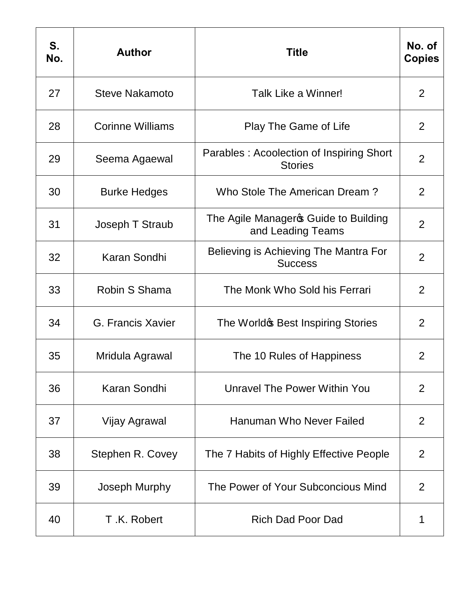| S.<br>No. | <b>Author</b>           | <b>Title</b>                                               | No. of<br><b>Copies</b> |
|-----------|-------------------------|------------------------------------------------------------|-------------------------|
| 27        | <b>Steve Nakamoto</b>   | Talk Like a Winner!                                        | 2                       |
| 28        | <b>Corinne Williams</b> | Play The Game of Life                                      | $\overline{2}$          |
| 29        | Seema Agaewal           | Parables: Acoolection of Inspiring Short<br><b>Stories</b> | 2                       |
| 30        | <b>Burke Hedges</b>     | Who Stole The American Dream?                              | $\overline{2}$          |
| 31        | Joseph T Straub         | The Agile Manageros Guide to Building<br>and Leading Teams | $\overline{2}$          |
| 32        | Karan Sondhi            | Believing is Achieving The Mantra For<br><b>Success</b>    | $\overline{2}$          |
| 33        | Robin S Shama           | The Monk Who Sold his Ferrari                              | $\overline{2}$          |
| 34        | G. Francis Xavier       | The Worldo Best Inspiring Stories                          | $\overline{2}$          |
| 35        | Mridula Agrawal         | The 10 Rules of Happiness                                  | $\overline{2}$          |
| 36        | Karan Sondhi            | Unravel The Power Within You                               | $\overline{2}$          |
| 37        | Vijay Agrawal           | <b>Hanuman Who Never Failed</b>                            | $\overline{2}$          |
| 38        | Stephen R. Covey        | The 7 Habits of Highly Effective People                    | $\overline{2}$          |
| 39        | Joseph Murphy           | The Power of Your Subconcious Mind                         | 2                       |
| 40        | T.K. Robert             | <b>Rich Dad Poor Dad</b>                                   | 1                       |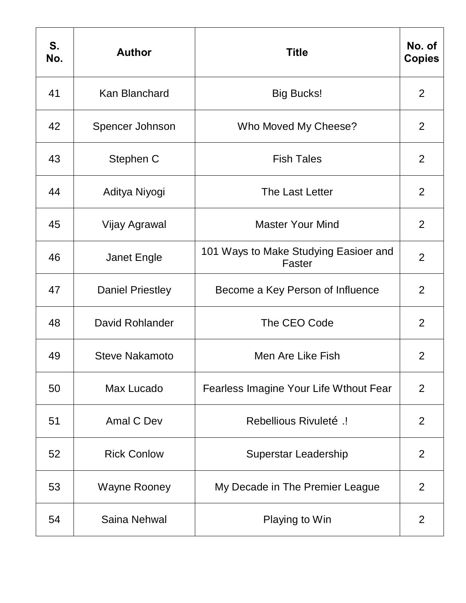| S.<br>No. | <b>Author</b>           | <b>Title</b>                                    | No. of<br><b>Copies</b> |
|-----------|-------------------------|-------------------------------------------------|-------------------------|
| 41        | <b>Kan Blanchard</b>    | <b>Big Bucks!</b>                               | $\overline{2}$          |
| 42        | Spencer Johnson         | Who Moved My Cheese?                            | 2                       |
| 43        | Stephen C               | <b>Fish Tales</b>                               | 2                       |
| 44        | Aditya Niyogi           | The Last Letter                                 | $\overline{2}$          |
| 45        | Vijay Agrawal           | <b>Master Your Mind</b>                         | $\overline{2}$          |
| 46        | <b>Janet Engle</b>      | 101 Ways to Make Studying Easioer and<br>Faster | $\overline{2}$          |
| 47        | <b>Daniel Priestley</b> | Become a Key Person of Influence                | 2                       |
| 48        | David Rohlander         | The CEO Code                                    | $\overline{2}$          |
| 49        | <b>Steve Nakamoto</b>   | Men Are Like Fish                               | $\overline{2}$          |
| 50        | Max Lucado              | Fearless Imagine Your Life Wthout Fear          | 2                       |
| 51        | Amal C Dev              | Rebellious Rivuleto .!                          | $\overline{2}$          |
| 52        | <b>Rick Conlow</b>      | Superstar Leadership                            | $\overline{2}$          |
| 53        | Wayne Rooney            | My Decade in The Premier League                 | $\overline{2}$          |
| 54        | Saina Nehwal            | Playing to Win                                  | 2                       |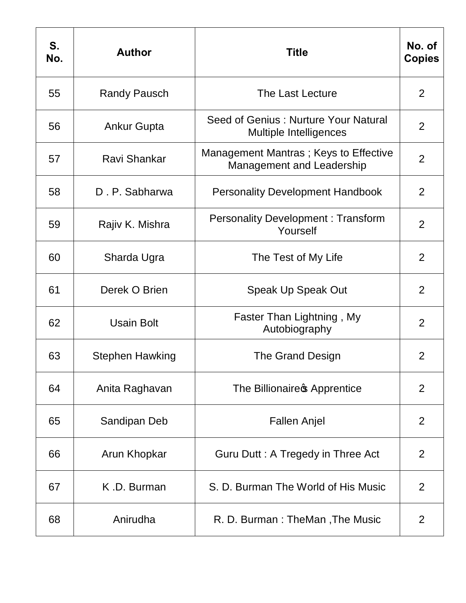| S.<br>No. | <b>Author</b>          | <b>Title</b>                                                       | No. of<br><b>Copies</b> |
|-----------|------------------------|--------------------------------------------------------------------|-------------------------|
| 55        | <b>Randy Pausch</b>    | The Last Lecture                                                   | $\overline{2}$          |
| 56        | <b>Ankur Gupta</b>     | Seed of Genius: Nurture Your Natural<br>Multiple Intelligences     | 2                       |
| 57        | <b>Ravi Shankar</b>    | Management Mantras; Keys to Effective<br>Management and Leadership | $\overline{2}$          |
| 58        | D. P. Sabharwa         | <b>Personality Development Handbook</b>                            | 2                       |
| 59        | Rajiv K. Mishra        | <b>Personality Development: Transform</b><br>Yourself              | $\overline{2}$          |
| 60        | Sharda Ugra            | The Test of My Life                                                | 2                       |
| 61        | Derek O Brien          | Speak Up Speak Out                                                 | 2                       |
| 62        | <b>Usain Bolt</b>      | Faster Than Lightning, My<br>Autobiography                         | $\overline{2}$          |
| 63        | <b>Stephen Hawking</b> | The Grand Design                                                   | $\overline{2}$          |
| 64        | Anita Raghavan         | The Billionaire of Apprentice                                      | 2                       |
| 65        | Sandipan Deb           | <b>Fallen Anjel</b>                                                | $\overline{2}$          |
| 66        | Arun Khopkar           | Guru Dutt: A Tregedy in Three Act                                  | 2                       |
| 67        | K.D. Burman            | S. D. Burman The World of His Music                                | $\overline{2}$          |
| 68        | Anirudha               | R. D. Burman: TheMan, The Music                                    | $\overline{2}$          |